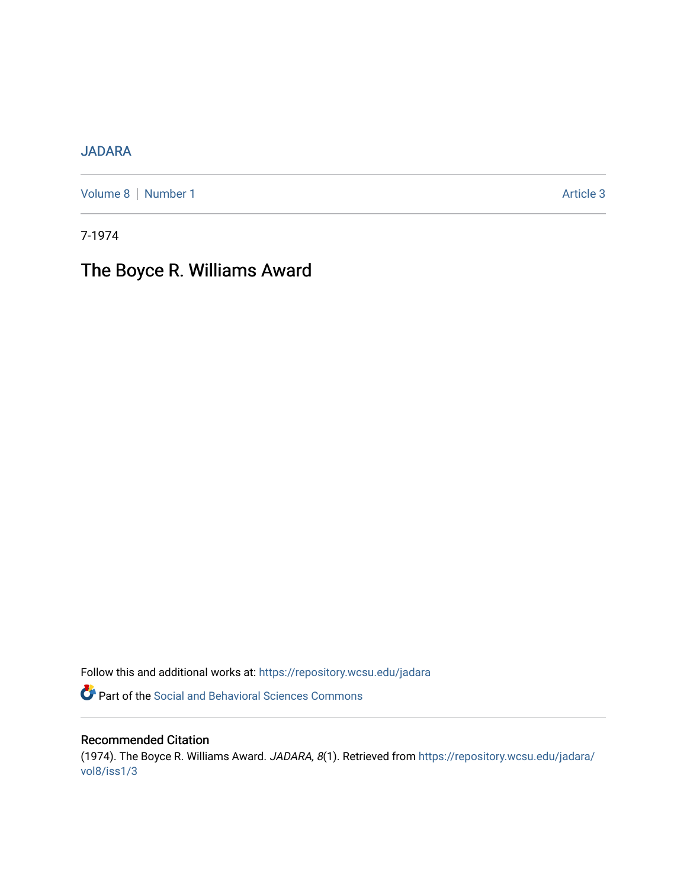## [JADARA](https://repository.wcsu.edu/jadara)

[Volume 8](https://repository.wcsu.edu/jadara/vol8) | [Number 1](https://repository.wcsu.edu/jadara/vol8/iss1) Article 3

7-1974

# The Boyce R. Williams Award

Follow this and additional works at: [https://repository.wcsu.edu/jadara](https://repository.wcsu.edu/jadara?utm_source=repository.wcsu.edu%2Fjadara%2Fvol8%2Fiss1%2F3&utm_medium=PDF&utm_campaign=PDFCoverPages)

Part of the [Social and Behavioral Sciences Commons](http://network.bepress.com/hgg/discipline/316?utm_source=repository.wcsu.edu%2Fjadara%2Fvol8%2Fiss1%2F3&utm_medium=PDF&utm_campaign=PDFCoverPages) 

### Recommended Citation

(1974). The Boyce R. Williams Award. JADARA, 8(1). Retrieved from [https://repository.wcsu.edu/jadara/](https://repository.wcsu.edu/jadara/vol8/iss1/3?utm_source=repository.wcsu.edu%2Fjadara%2Fvol8%2Fiss1%2F3&utm_medium=PDF&utm_campaign=PDFCoverPages) [vol8/iss1/3](https://repository.wcsu.edu/jadara/vol8/iss1/3?utm_source=repository.wcsu.edu%2Fjadara%2Fvol8%2Fiss1%2F3&utm_medium=PDF&utm_campaign=PDFCoverPages)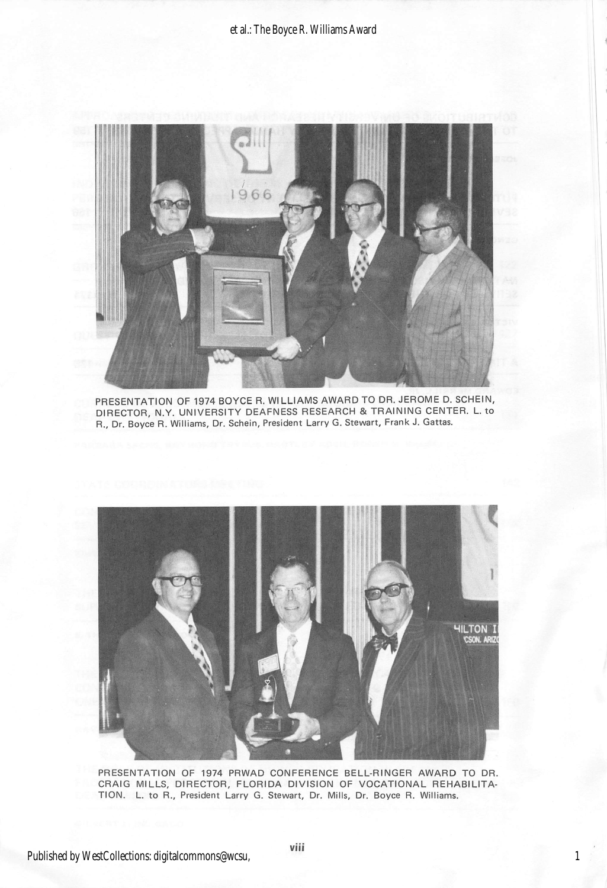

PRESENTATION OF 1974 BOYCE R. WILLIAMS AWARD TO DR. JEROME D. SCHEIN, DIRECTOR, N.Y. UNIVERSITY DEAFNESS RESEARCH & TRAINING CENTER. L. to R., Dr. Boyce R. Williams, Dr. Schein, President Larry G. Stewart, Frank J. Gattas.



PRESENTATION OF 1974 PRWAD CONFERENCE BELL-RINGER AWARD TO DR. CRAIG MILLS, DIRECTOR, FLORIDA DIVISION OF VOCATIONAL REHABILITA TION. L. to R., President Larry G. Stewart, Dr. Mills, Dr. Boyce R. Williams.

1